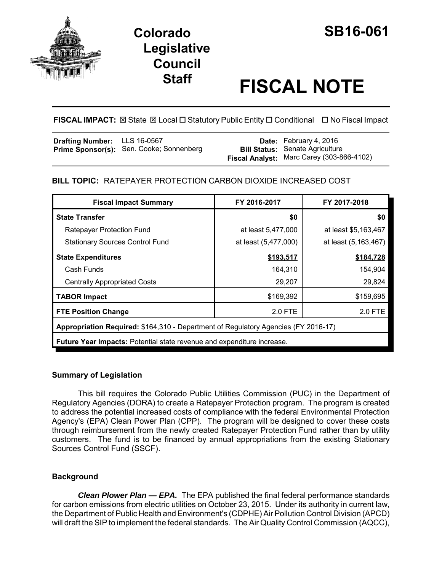

## **Colorado SB16-061 Legislative Council**

# **Staff FISCAL NOTE**

**FISCAL IMPACT:** ⊠ State ⊠ Local □ Statutory Public Entity □ Conditional □ No Fiscal Impact

| Drafting Number: LLS 16-0567 |                                                 | <b>Date:</b> February 4, 2016             |
|------------------------------|-------------------------------------------------|-------------------------------------------|
|                              | <b>Prime Sponsor(s):</b> Sen. Cooke; Sonnenberg | <b>Bill Status: Senate Agriculture</b>    |
|                              |                                                 | Fiscal Analyst: Marc Carey (303-866-4102) |

#### **BILL TOPIC:** RATEPAYER PROTECTION CARBON DIOXIDE INCREASED COST

| <b>Fiscal Impact Summary</b>                                                       | FY 2016-2017         | FY 2017-2018         |  |  |  |
|------------------------------------------------------------------------------------|----------------------|----------------------|--|--|--|
| <b>State Transfer</b>                                                              | \$0                  | \$0                  |  |  |  |
| Ratepayer Protection Fund                                                          | at least 5,477,000   | at least \$5,163,467 |  |  |  |
| <b>Stationary Sources Control Fund</b>                                             | at least (5,477,000) | at least (5,163,467) |  |  |  |
| <b>State Expenditures</b>                                                          | \$193,517            | \$184,728            |  |  |  |
| Cash Funds                                                                         | 164,310              | 154,904              |  |  |  |
| <b>Centrally Appropriated Costs</b>                                                | 29,207               | 29,824               |  |  |  |
| <b>TABOR Impact</b>                                                                | \$169,392            | \$159,695            |  |  |  |
| <b>FTE Position Change</b>                                                         | 2.0 FTE              | 2.0 FTE              |  |  |  |
| Appropriation Required: \$164,310 - Department of Regulatory Agencies (FY 2016-17) |                      |                      |  |  |  |
| <b>Future Year Impacts: Potential state revenue and expenditure increase.</b>      |                      |                      |  |  |  |

#### **Summary of Legislation**

This bill requires the Colorado Public Utilities Commission (PUC) in the Department of Regulatory Agencies (DORA) to create a Ratepayer Protection program. The program is created to address the potential increased costs of compliance with the federal Environmental Protection Agency's (EPA) Clean Power Plan (CPP). The program will be designed to cover these costs through reimbursement from the newly created Ratepayer Protection Fund rather than by utility customers. The fund is to be financed by annual appropriations from the existing Stationary Sources Control Fund (SSCF).

#### **Background**

*Clean Plower Plan — EPA.* The EPA published the final federal performance standards for carbon emissions from electric utilities on October 23, 2015. Under its authority in current law, the Department of Public Health and Environment's (CDPHE) Air Pollution Control Division (APCD) will draft the SIP to implement the federal standards. The Air Quality Control Commission (AQCC),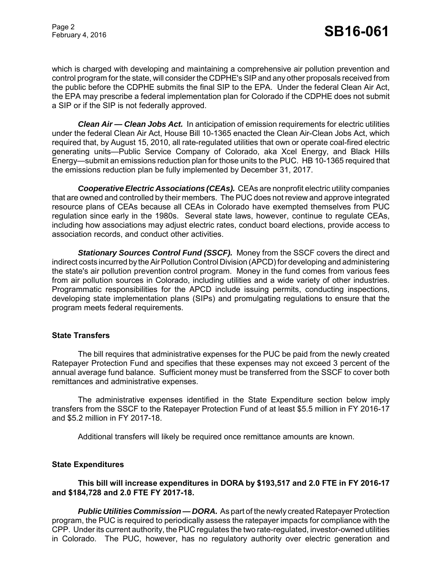### Page 2<br>February 4, 2016 **SB16-061**

which is charged with developing and maintaining a comprehensive air pollution prevention and control program for the state, will consider the CDPHE's SIP and any other proposals received from the public before the CDPHE submits the final SIP to the EPA. Under the federal Clean Air Act, the EPA may prescribe a federal implementation plan for Colorado if the CDPHE does not submit a SIP or if the SIP is not federally approved.

*Clean Air — Clean Jobs Act.* In anticipation of emission requirements for electric utilities under the federal Clean Air Act, House Bill 10-1365 enacted the Clean Air-Clean Jobs Act, which required that, by August 15, 2010, all rate-regulated utilities that own or operate coal-fired electric generating units—Public Service Company of Colorado, aka Xcel Energy, and Black Hills Energy—submit an emissions reduction plan for those units to the PUC. HB 10-1365 required that the emissions reduction plan be fully implemented by December 31, 2017.

*Cooperative Electric Associations (CEAs).* CEAs are nonprofit electric utility companies that are owned and controlled by their members. The PUC does not review and approve integrated resource plans of CEAs because all CEAs in Colorado have exempted themselves from PUC regulation since early in the 1980s. Several state laws, however, continue to regulate CEAs, including how associations may adjust electric rates, conduct board elections, provide access to association records, and conduct other activities.

*Stationary Sources Control Fund (SSCF).* Money from the SSCF covers the direct and indirect costs incurred by the Air Pollution Control Division (APCD) for developing and administering the state's air pollution prevention control program. Money in the fund comes from various fees from air pollution sources in Colorado, including utilities and a wide variety of other industries. Programmatic responsibilities for the APCD include issuing permits, conducting inspections, developing state implementation plans (SIPs) and promulgating regulations to ensure that the program meets federal requirements.

#### **State Transfers**

The bill requires that administrative expenses for the PUC be paid from the newly created Ratepayer Protection Fund and specifies that these expenses may not exceed 3 percent of the annual average fund balance. Sufficient money must be transferred from the SSCF to cover both remittances and administrative expenses.

The administrative expenses identified in the State Expenditure section below imply transfers from the SSCF to the Ratepayer Protection Fund of at least \$5.5 million in FY 2016-17 and \$5.2 million in FY 2017-18.

Additional transfers will likely be required once remittance amounts are known.

#### **State Expenditures**

#### **This bill will increase expenditures in DORA by \$193,517 and 2.0 FTE in FY 2016-17 and \$184,728 and 2.0 FTE FY 2017-18.**

**Public Utilities Commission — DORA.** As part of the newly created Ratepayer Protection program, the PUC is required to periodically assess the ratepayer impacts for compliance with the CPP. Under its current authority, the PUC regulates the two rate-regulated, investor-owned utilities in Colorado. The PUC, however, has no regulatory authority over electric generation and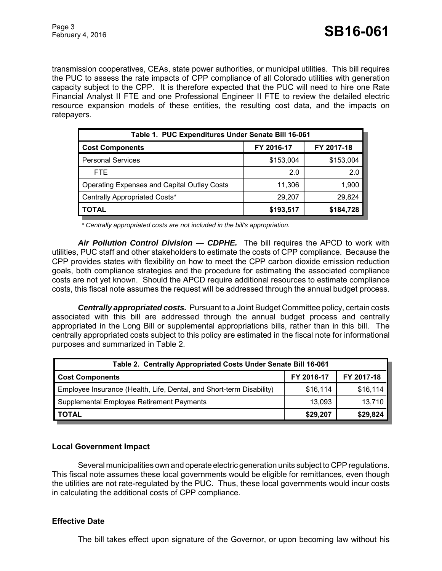transmission cooperatives, CEAs, state power authorities, or municipal utilities. This bill requires the PUC to assess the rate impacts of CPP compliance of all Colorado utilities with generation capacity subject to the CPP. It is therefore expected that the PUC will need to hire one Rate Financial Analyst II FTE and one Professional Engineer II FTE to review the detailed electric resource expansion models of these entities, the resulting cost data, and the impacts on ratepayers.

| Table 1. PUC Expenditures Under Senate Bill 16-061 |            |            |  |  |  |
|----------------------------------------------------|------------|------------|--|--|--|
| <b>Cost Components</b>                             | FY 2016-17 | FY 2017-18 |  |  |  |
| <b>Personal Services</b>                           | \$153,004  | \$153,004  |  |  |  |
| FTE.                                               | 2.0        | 2.0        |  |  |  |
| <b>Operating Expenses and Capital Outlay Costs</b> | 11,306     | 1,900      |  |  |  |
| Centrally Appropriated Costs*                      | 29,207     | 29,824     |  |  |  |
| TOTAL                                              | \$193,517  | \$184,728  |  |  |  |

 *\* Centrally appropriated costs are not included in the bill's appropriation.*

*Air Pollution Control Division — CDPHE.* The bill requires the APCD to work with utilities, PUC staff and other stakeholders to estimate the costs of CPP compliance. Because the CPP provides states with flexibility on how to meet the CPP carbon dioxide emission reduction goals, both compliance strategies and the procedure for estimating the associated compliance costs are not yet known. Should the APCD require additional resources to estimate compliance costs, this fiscal note assumes the request will be addressed through the annual budget process.

*Centrally appropriated costs.* Pursuant to a Joint Budget Committee policy, certain costs associated with this bill are addressed through the annual budget process and centrally appropriated in the Long Bill or supplemental appropriations bills, rather than in this bill. The centrally appropriated costs subject to this policy are estimated in the fiscal note for informational purposes and summarized in Table 2.

| Table 2. Centrally Appropriated Costs Under Senate Bill 16-061       |            |            |  |  |  |
|----------------------------------------------------------------------|------------|------------|--|--|--|
| <b>Cost Components</b>                                               | FY 2016-17 | FY 2017-18 |  |  |  |
| Employee Insurance (Health, Life, Dental, and Short-term Disability) | \$16,114   | \$16,114   |  |  |  |
| Supplemental Employee Retirement Payments                            | 13,093     | 13,710     |  |  |  |
| <b>TOTAL</b>                                                         | \$29,207   | \$29,824   |  |  |  |

#### **Local Government Impact**

Several municipalities own and operate electric generation units subject to CPP regulations. This fiscal note assumes these local governments would be eligible for remittances, even though the utilities are not rate-regulated by the PUC. Thus, these local governments would incur costs in calculating the additional costs of CPP compliance.

#### **Effective Date**

The bill takes effect upon signature of the Governor, or upon becoming law without his